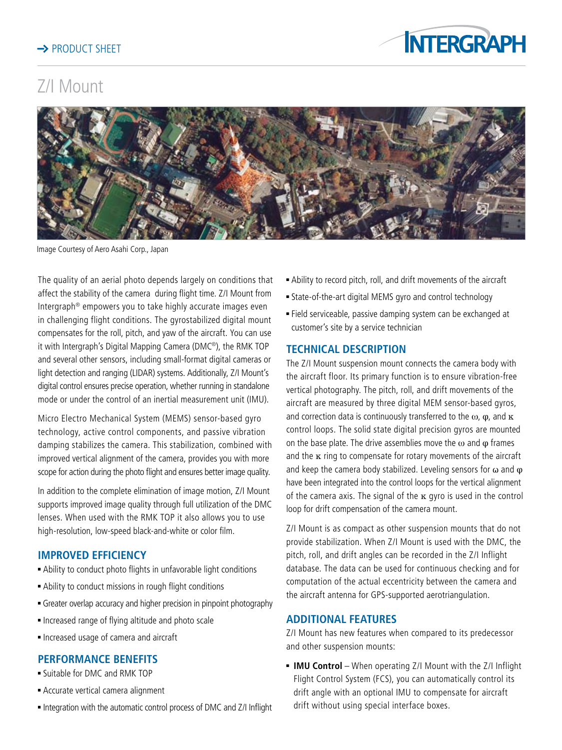

# Z/I Mount



Image Courtesy of Aero Asahi Corp., Japan

The quality of an aerial photo depends largely on conditions that affect the stability of the camera during flight time. Z/I Mount from Intergraph® empowers you to take highly accurate images even in challenging flight conditions. The gyrostabilized digital mount compensates for the roll, pitch, and yaw of the aircraft. You can use it with Intergraph's Digital Mapping Camera (DMC®), the RMK TOP and several other sensors, including small-format digital cameras or light detection and ranging (LIDAR) systems. Additionally, Z/I Mount's digital control ensures precise operation, whether running in standalone mode or under the control of an inertial measurement unit (IMU).

Micro Electro Mechanical System (MEMS) sensor-based gyro technology, active control components, and passive vibration damping stabilizes the camera. This stabilization, combined with improved vertical alignment of the camera, provides you with more scope for action during the photo flight and ensures better image quality.

In addition to the complete elimination of image motion, Z/I Mount supports improved image quality through full utilization of the DMC lenses. When used with the RMK TOP it also allows you to use high-resolution, low-speed black-and-white or color film.

# **IMPROVED EFFICIENCY**

- Ability to conduct photo flights in unfavorable light conditions
- <sup>n</sup> Ability to conduct missions in rough flight conditions
- **Greater overlap accuracy and higher precision in pinpoint photography**
- **n** Increased range of flying altitude and photo scale
- <sup>n</sup> Increased usage of camera and aircraft

# **PERFORMANCE BENEFITS**

- **E** Suitable for DMC and RMK TOP
- <sup>n</sup> Accurate vertical camera alignment
- Integration with the automatic control process of DMC and Z/I Inflight
- <sup>n</sup> Ability to record pitch, roll, and drift movements of the aircraft
- <sup>n</sup> State-of-the-art digital MEMS gyro and control technology
- <sup>n</sup> Field serviceable, passive damping system can be exchanged at customer's site by a service technician

## **TECHNICAL DESCRIPTION**

The Z/I Mount suspension mount connects the camera body with the aircraft floor. Its primary function is to ensure vibration-free vertical photography. The pitch, roll, and drift movements of the aircraft are measured by three digital MEM sensor-based gyros, and correction data is continuously transferred to the  $\omega$ ,  $\varphi$ , and  $\kappa$ control loops. The solid state digital precision gyros are mounted on the base plate. The drive assemblies move the  $\omega$  and  $\varphi$  frames and the  $\kappa$  ring to compensate for rotary movements of the aircraft and keep the camera body stabilized. Leveling sensors for  $\omega$  and  $\varphi$ have been integrated into the control loops for the vertical alignment of the camera axis. The signal of the  $\kappa$  gyro is used in the control loop for drift compensation of the camera mount.

Z/I Mount is as compact as other suspension mounts that do not provide stabilization. When Z/I Mount is used with the DMC, the pitch, roll, and drift angles can be recorded in the Z/I Inflight database. The data can be used for continuous checking and for computation of the actual eccentricity between the camera and the aircraft antenna for GPS-supported aerotriangulation.

## **ADDITIONAL FEATURES**

Z/I Mount has new features when compared to its predecessor and other suspension mounts:

**IMU Control** – When operating Z/I Mount with the Z/I Inflight Flight Control System (FCS), you can automatically control its drift angle with an optional IMU to compensate for aircraft drift without using special interface boxes.